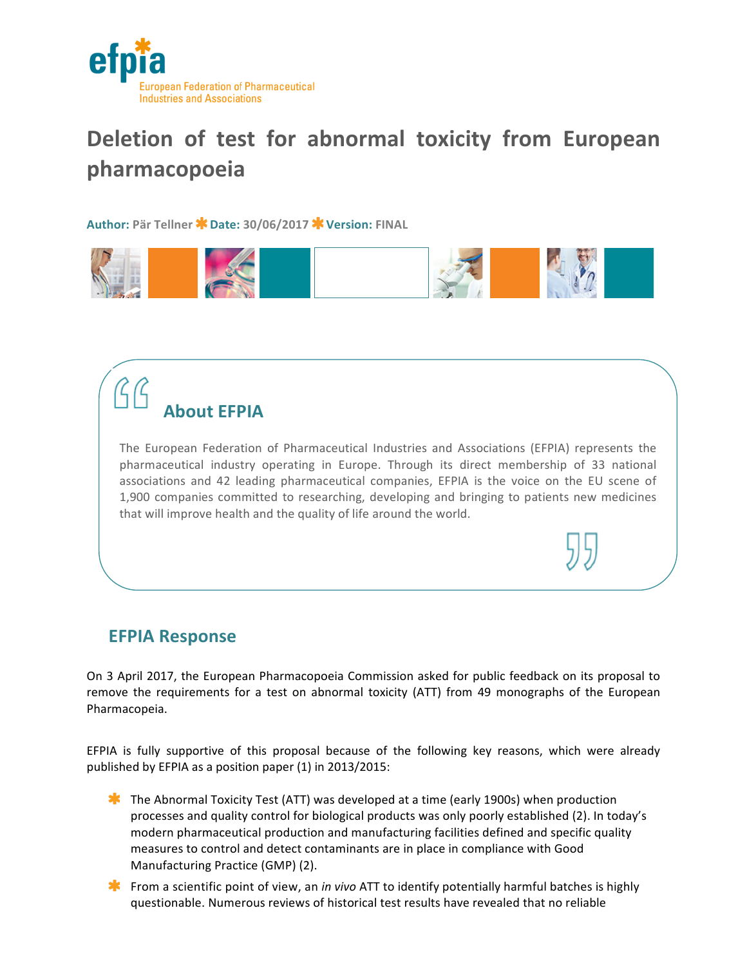

## Deletion of test for abnormal toxicity from European **pharmacopoeia**

**Author: Pär Tellner Date: 30/06/2017 Version: FINAL**



## **About EFPIA**

The European Federation of Pharmaceutical Industries and Associations (EFPIA) represents the pharmaceutical industry operating in Europe. Through its direct membership of 33 national associations and 42 leading pharmaceutical companies, EFPIA is the voice on the EU scene of 1,900 companies committed to researching, developing and bringing to patients new medicines that will improve health and the quality of life around the world.

the contract of the contract of the contract of the contract of the contract of the contract of the contract of

## **EFPIA Response**

On 3 April 2017, the European Pharmacopoeia Commission asked for public feedback on its proposal to remove the requirements for a test on abnormal toxicity (ATT) from 49 monographs of the European Pharmacopeia. 

EFPIA is fully supportive of this proposal because of the following key reasons, which were already published by EFPIA as a position paper  $(1)$  in 2013/2015:

- **The Abnormal Toxicity Test (ATT) was developed at a time (early 1900s) when production** processes and quality control for biological products was only poorly established (2). In today's modern pharmaceutical production and manufacturing facilities defined and specific quality measures to control and detect contaminants are in place in compliance with Good Manufacturing Practice (GMP) (2).
- **From** a scientific point of view, an *in vivo* ATT to identify potentially harmful batches is highly questionable. Numerous reviews of historical test results have revealed that no reliable